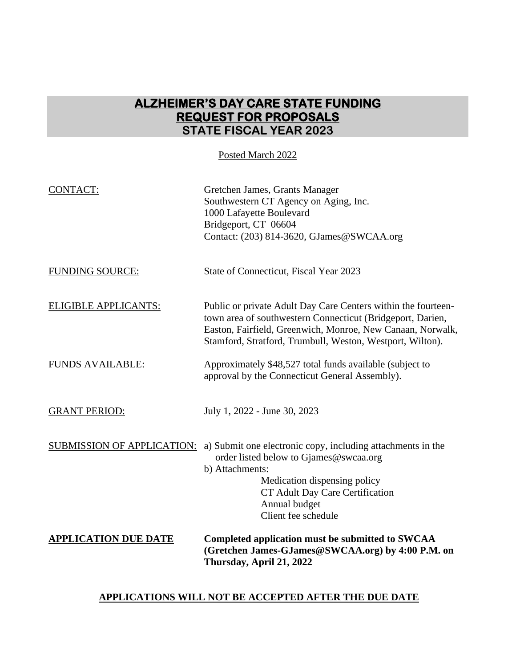# **ALZHEIMER'S DAY CARE STATE FUNDING REQUEST FOR PROPOSALS STATE FISCAL YEAR 2023**

Posted March 2022

| <b>CONTACT:</b>                   | Gretchen James, Grants Manager<br>Southwestern CT Agency on Aging, Inc.<br>1000 Lafayette Boulevard<br>Bridgeport, CT 06604<br>Contact: (203) 814-3620, GJames@SWCAA.org                                                                               |
|-----------------------------------|--------------------------------------------------------------------------------------------------------------------------------------------------------------------------------------------------------------------------------------------------------|
| <b>FUNDING SOURCE:</b>            | State of Connecticut, Fiscal Year 2023                                                                                                                                                                                                                 |
| ELIGIBLE APPLICANTS:              | Public or private Adult Day Care Centers within the fourteen-<br>town area of southwestern Connecticut (Bridgeport, Darien,<br>Easton, Fairfield, Greenwich, Monroe, New Canaan, Norwalk,<br>Stamford, Stratford, Trumbull, Weston, Westport, Wilton). |
| <b>FUNDS AVAILABLE:</b>           | Approximately \$48,527 total funds available (subject to<br>approval by the Connecticut General Assembly).                                                                                                                                             |
| <b>GRANT PERIOD:</b>              | July 1, 2022 - June 30, 2023                                                                                                                                                                                                                           |
| <b>SUBMISSION OF APPLICATION:</b> | a) Submit one electronic copy, including attachments in the<br>order listed below to Gjames@swcaa.org<br>b) Attachments:<br>Medication dispensing policy<br>CT Adult Day Care Certification<br>Annual budget<br>Client fee schedule                    |
| <b>APPLICATION DUE DATE</b>       | Completed application must be submitted to SWCAA<br>(Gretchen James-GJames@SWCAA.org) by 4:00 P.M. on<br>Thursday, April 21, 2022                                                                                                                      |

### **APPLICATIONS WILL NOT BE ACCEPTED AFTER THE DUE DATE**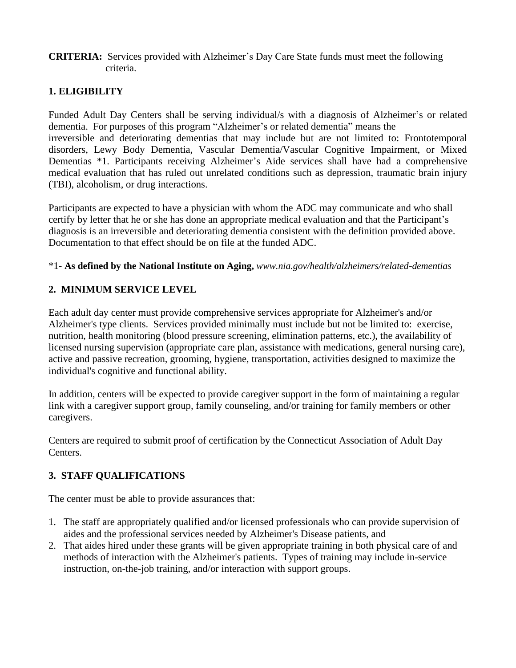#### **CRITERIA:** Services provided with Alzheimer's Day Care State funds must meet the following criteria.

# **1. ELIGIBILITY**

Funded Adult Day Centers shall be serving individual/s with a diagnosis of Alzheimer's or related dementia. For purposes of this program "Alzheimer's or related dementia" means the irreversible and deteriorating dementias that may include but are not limited to: Frontotemporal disorders, Lewy Body Dementia, Vascular Dementia/Vascular Cognitive Impairment, or Mixed Dementias \*1. Participants receiving Alzheimer's Aide services shall have had a comprehensive medical evaluation that has ruled out unrelated conditions such as depression, traumatic brain injury (TBI), alcoholism, or drug interactions.

Participants are expected to have a physician with whom the ADC may communicate and who shall certify by letter that he or she has done an appropriate medical evaluation and that the Participant's diagnosis is an irreversible and deteriorating dementia consistent with the definition provided above. Documentation to that effect should be on file at the funded ADC.

#### \*1- **As defined by the National Institute on Aging,** *www.nia.gov/health/alzheimers/related-dementias*

#### **2. MINIMUM SERVICE LEVEL**

Each adult day center must provide comprehensive services appropriate for Alzheimer's and/or Alzheimer's type clients. Services provided minimally must include but not be limited to: exercise, nutrition, health monitoring (blood pressure screening, elimination patterns, etc.), the availability of licensed nursing supervision (appropriate care plan, assistance with medications, general nursing care), active and passive recreation, grooming, hygiene, transportation, activities designed to maximize the individual's cognitive and functional ability.

In addition, centers will be expected to provide caregiver support in the form of maintaining a regular link with a caregiver support group, family counseling, and/or training for family members or other caregivers.

Centers are required to submit proof of certification by the Connecticut Association of Adult Day Centers.

# **3. STAFF QUALIFICATIONS**

The center must be able to provide assurances that:

- 1. The staff are appropriately qualified and/or licensed professionals who can provide supervision of aides and the professional services needed by Alzheimer's Disease patients, and
- 2. That aides hired under these grants will be given appropriate training in both physical care of and methods of interaction with the Alzheimer's patients. Types of training may include in-service instruction, on-the-job training, and/or interaction with support groups.